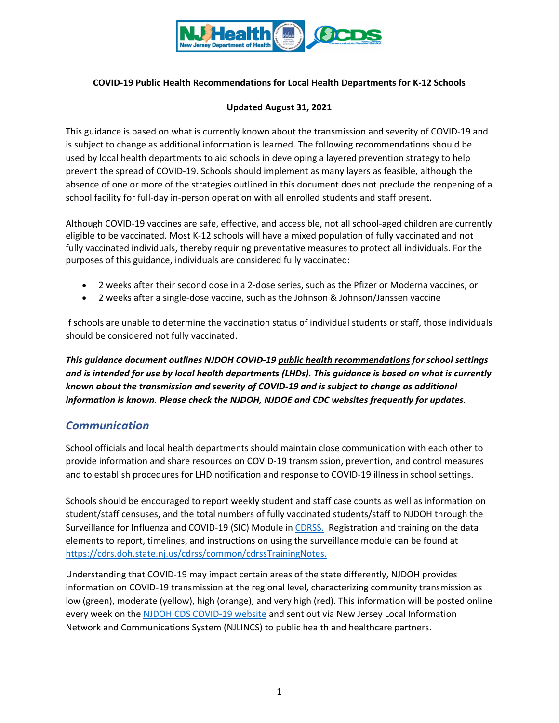

### **COVID-19 Public Health Recommendations for Local Health Departments for K-12 Schools**

#### **Updated August 31, 2021**

This guidance is based on what is currently known about the transmission and severity of COVID-19 and is subject to change as additional information is learned. The following recommendations should be used by local health departments to aid schools in developing a layered prevention strategy to help prevent the spread of COVID-19. Schools should implement as many layers as feasible, although the absence of one or more of the strategies outlined in this document does not preclude the reopening of a school facility for full-day in-person operation with all enrolled students and staff present.

Although COVID-19 vaccines are safe, effective, and accessible, not all school-aged children are currently eligible to be vaccinated. Most K-12 schools will have a mixed population of fully vaccinated and not fully vaccinated individuals, thereby requiring preventative measures to protect all individuals. For the purposes of this guidance, individuals are considered fully vaccinated:

- 2 weeks after their second dose in a 2-dose series, such as the Pfizer or Moderna vaccines, or
- 2 weeks after a single-dose vaccine, such as the Johnson & Johnson/Janssen vaccine

If schools are unable to determine the vaccination status of individual students or staff, those individuals should be considered not fully vaccinated.

*This guidance document outlines NJDOH COVID-19 public health recommendations for school settings and is intended for use by local health departments (LHDs). This guidance is based on what is currently known about the transmission and severity of COVID-19 and is subject to change as additional information is known. Please check the NJDOH, NJDOE and CDC websites frequently for updates.* 

## *Communication*

School officials and local health departments should maintain close communication with each other to provide information and share resources on COVID-19 transmission, prevention, and control measures and to establish procedures for LHD notification and response to COVID-19 illness in school settings.

Schools should be encouraged to report weekly student and staff case counts as well as information on student/staff censuses, and the total numbers of fully vaccinated students/staff to NJDOH through the Surveillance for Influenza and COVID-19 (SIC) Module i[n CDRSS.](https://cdrs.doh.state.nj.us/cdrss/login/loginPage/) Registration and training on the data elements to report, timelines, and instructions on using the surveillance module can be found at [https://cdrs.doh.state.nj.us/cdrss/common/cdrssTrainingNotes.](https://cdrs.doh.state.nj.us/cdrss/common/cdrssTrainingNotes)

Understanding that COVID-19 may impact certain areas of the state differently, NJDOH provides information on COVID-19 transmission at the regional level, characterizing community transmission as low (green), moderate (yellow), high (orange), and very high (red). This information will be posted online every week on the [NJDOH CDS COVID-19 website](https://www.nj.gov/health/cd/statistics/covid/) and sent out via New Jersey Local Information Network and Communications System (NJLINCS) to public health and healthcare partners.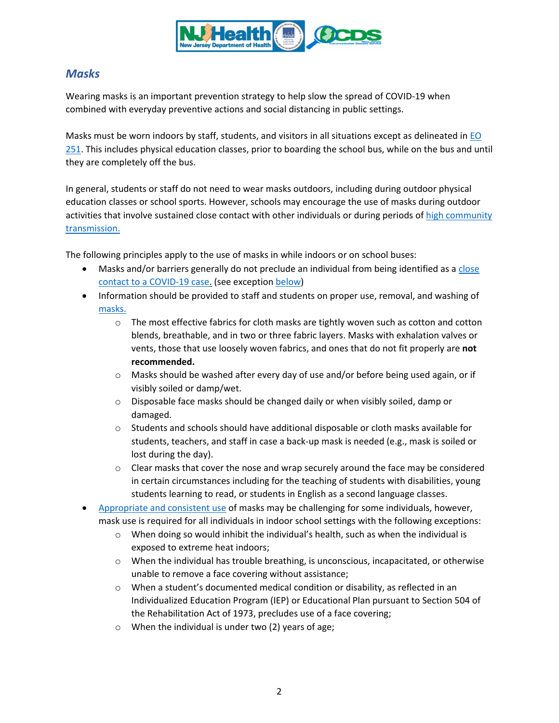

# *Masks*

Wearing masks is an important prevention strategy to help slow the spread of COVID-19 when combined with everyday preventive actions and social distancing in public settings.

Masks must be worn indoors by staff, students, and visitors in all situations except as delineated in [EO](https://nj.gov/infobank/eo/056murphy/pdf/EO-251.pdf)  [251.](https://nj.gov/infobank/eo/056murphy/pdf/EO-251.pdf) This includes physical education classes, prior to boarding the school bus, while on the bus and until they are completely off the bus.

In general, students or staff do not need to wear masks outdoors, including during outdoor physical education classes or school sports. However, schools may encourage the use of masks during outdoor activities that involve sustained close contact with other individuals or during periods of high community [transmission.](https://www.nj.gov/health/cd/statistics/covid/#1)

The following principles apply to the use of masks in while indoors or on school buses:

- Masks and/or barriers generally do not preclude an individual from being identified as a close [contact to a COVID-19 case.](#page-12-0) (see exception [below\)](#page-12-1)
- Information should be provided to staff and students on proper use, removal, and washing of [masks.](https://www.cdc.gov/coronavirus/2019-ncov/prevent-getting-sick/diy-cloth-face-coverings.html)
	- $\circ$  The most effective fabrics for cloth masks are tightly woven such as cotton and cotton blends, breathable, and in two or three fabric layers. Masks with exhalation valves or vents, those that use loosely woven fabrics, and ones that do not fit properly are **not recommended.**
	- o Masks should be washed after every day of use and/or before being used again, or if visibly soiled or damp/wet.
	- o Disposable face masks should be changed daily or when visibly soiled, damp or damaged.
	- $\circ$  Students and schools should have additional disposable or cloth masks available for students, teachers, and staff in case a back-up mask is needed (e.g., mask is soiled or lost during the day).
	- $\circ$  Clear masks that cover the nose and wrap securely around the face may be considered in certain circumstances including for the teaching of students with disabilities, young students learning to read, or students in English as a second language classes.
- [Appropriate and consistent use](https://www.cdc.gov/coronavirus/2019-ncov/prevent-getting-sick/how-to-wear-cloth-face-coverings.html) of masks may be challenging for some individuals, however, mask use is required for all individuals in indoor school settings with the following exceptions:
	- $\circ$  When doing so would inhibit the individual's health, such as when the individual is exposed to extreme heat indoors;
	- $\circ$  When the individual has trouble breathing, is unconscious, incapacitated, or otherwise unable to remove a face covering without assistance;
	- o When a student's documented medical condition or disability, as reflected in an Individualized Education Program (IEP) or Educational Plan pursuant to Section 504 of the Rehabilitation Act of 1973, precludes use of a face covering;
	- o When the individual is under two (2) years of age;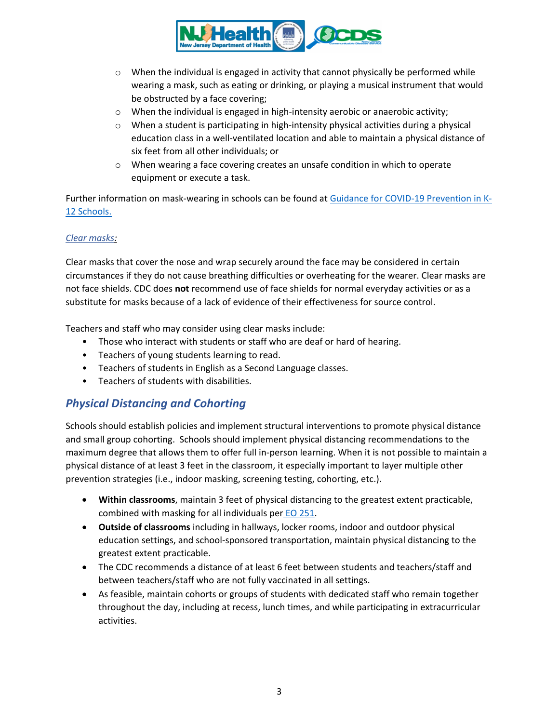

- $\circ$  When the individual is engaged in activity that cannot physically be performed while wearing a mask, such as eating or drinking, or playing a musical instrument that would be obstructed by a face covering;
- $\circ$  When the individual is engaged in high-intensity aerobic or anaerobic activity;
- $\circ$  When a student is participating in high-intensity physical activities during a physical education class in a well-ventilated location and able to maintain a physical distance of six feet from all other individuals; or
- o When wearing a face covering creates an unsafe condition in which to operate equipment or execute a task.

Further information on mask-wearing in schools can be found at [Guidance for COVID-19 Prevention in K-](https://www.cdc.gov/coronavirus/2019-ncov/community/schools-childcare/k-12-guidance.html)[12 Schools.](https://www.cdc.gov/coronavirus/2019-ncov/community/schools-childcare/k-12-guidance.html)

### *Clear masks:*

Clear masks that cover the nose and wrap securely around the face may be considered in certain circumstances if they do not cause breathing difficulties or overheating for the wearer. Clear masks are not face shields. CDC does **not** recommend use of face shields for normal everyday activities or as a substitute for masks because of a lack of evidence of their effectiveness for source control.

Teachers and staff who may consider using clear masks include:

- Those who interact with students or staff who are deaf or hard of hearing.
- Teachers of young students learning to read.
- Teachers of students in English as a Second Language classes.
- Teachers of students with disabilities.

# *Physical Distancing and Cohorting*

Schools should establish policies and implement structural interventions to promote physical distance and small group cohorting. Schools should implement physical distancing recommendations to the maximum degree that allows them to offer full in-person learning. When it is not possible to maintain a physical distance of at least 3 feet in the classroom, it especially important to layer multiple other prevention strategies (i.e., indoor masking, screening testing, cohorting, etc.).

- **Within classrooms**, maintain 3 feet of physical distancing to the greatest extent practicable, combined with masking for all individuals per EO [251.](https://nj.gov/infobank/eo/056murphy/pdf/EO-251.pdf)
- **Outside of classrooms** including in hallways, locker rooms, indoor and outdoor physical education settings, and school-sponsored transportation, maintain physical distancing to the greatest extent practicable.
- The CDC recommends a distance of at least 6 feet between students and teachers/staff and between teachers/staff who are not fully vaccinated in all settings.
- As feasible, maintain cohorts or groups of students with dedicated staff who remain together throughout the day, including at recess, lunch times, and while participating in extracurricular activities.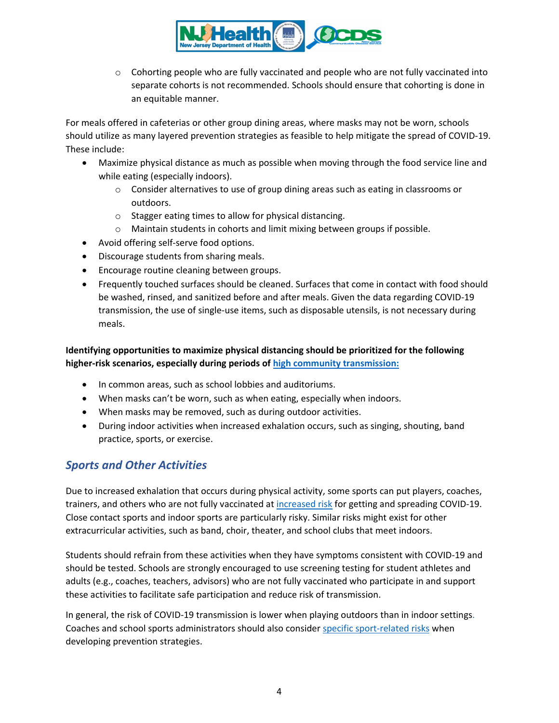

 $\circ$  Cohorting people who are fully vaccinated and people who are not fully vaccinated into separate cohorts is not recommended. Schools should ensure that cohorting is done in an equitable manner.

For meals offered in cafeterias or other group dining areas, where masks may not be worn, schools should utilize as many layered prevention strategies as feasible to help mitigate the spread of COVID-19. These include:

- Maximize physical distance as much as possible when moving through the food service line and while eating (especially indoors).
	- $\circ$  Consider alternatives to use of group dining areas such as eating in classrooms or outdoors.
	- o Stagger eating times to allow for physical distancing.
	- o Maintain students in cohorts and limit mixing between groups if possible.
- Avoid offering self-serve food options.
- Discourage students from sharing meals.
- Encourage routine cleaning between groups.
- Frequently touched surfaces should be cleaned. Surfaces that come in contact with food should be washed, rinsed, and sanitized before and after meals. Given the data regarding COVID-19 transmission, the use of single-use items, such as disposable utensils, is not necessary during meals.

**Identifying opportunities to maximize physical distancing should be prioritized for the following higher-risk scenarios, especially during periods of [high community transmission:](https://www.nj.gov/health/cd/statistics/covid/#1)**

- In common areas, such as school lobbies and auditoriums.
- When masks can't be worn, such as when eating, especially when indoors.
- When masks may be removed, such as during outdoor activities.
- During indoor activities when increased exhalation occurs, such as singing, shouting, band practice, sports, or exercise.

# *Sports and Other Activities*

Due to increased exhalation that occurs during physical activity, some sports can put players, coaches, trainers, and others who are not fully vaccinated at [increased risk](https://www.cdc.gov/coronavirus/2019-ncov/science/science-briefs/transmission_k_12_schools.html#sports-activities) for getting and spreading COVID-19. Close contact sports and indoor sports are particularly risky. Similar risks might exist for other extracurricular activities, such as band, choir, theater, and school clubs that meet indoors.

Students should refrain from these activities when they have symptoms consistent with COVID-19 and should be tested. Schools are strongly encouraged to use screening testing for student athletes and adults (e.g., coaches, teachers, advisors) who are not fully vaccinated who participate in and support these activities to facilitate safe participation and reduce risk of transmission.

In general, the risk of COVID-19 transmission is lower when playing outdoors than in indoor settings. Coaches and school sports administrators should also consider [specific sport-related risks](https://www.cdc.gov/coronavirus/2019-ncov/community/schools-childcare/k-12-guidance.html#anchor_1625662037558) when developing prevention strategies.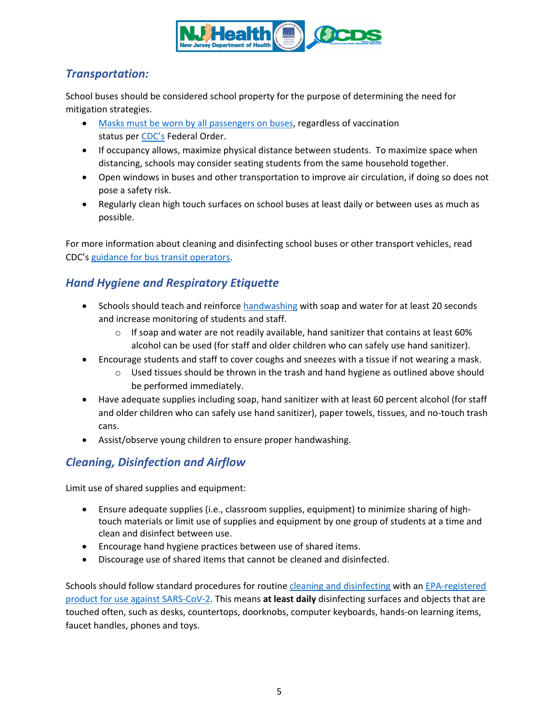

# *Transportation:*

School buses should be considered school property for the purpose of determining the need for mitigation strategies.

- Masks must be worn by [all passengers](https://www.cdc.gov/coronavirus/2019-ncov/travelers/face-masks-public-transportation.html) on buses, regardless of vaccination status per [CDC's](https://www.cdc.gov/quarantine/pdf/Mask-Order-CDC_GMTF_01-29-21-p.pdf) Federal Order.
- If occupancy allows, maximize physical distance between students. To maximize space when distancing, schools may consider seating students from the same household together.
- Open windows in buses and other transportation to improve air circulation, if doing so does not pose a safety risk.
- Regularly clean high touch surfaces on school buses at least daily or between uses as much as possible.

For more information about cleaning and disinfecting school buses or other transport vehicles, read CDC's [guidance for bus transit operators.](https://www.cdc.gov/coronavirus/2019-ncov/community/organizations/bus-transit-operator.html)

# *Hand Hygiene and Respiratory Etiquette*

- Schools should teach and reinforc[e handwashing](https://www.cdc.gov/handwashing/when-how-handwashing.html) with soap and water for at least 20 seconds and increase monitoring of students and staff.
	- $\circ$  If soap and water are not readily available, hand sanitizer that contains at least 60% alcohol can be used (for staff and older children who can safely use hand sanitizer).
- Encourage students and staff to cover coughs and sneezes with a tissue if not wearing a mask.
	- $\circ$  Used tissues should be thrown in the trash and hand hygiene as outlined above should be performed immediately.
- Have adequate supplies including soap, hand sanitizer with at least 60 percent alcohol (for staff and older children who can safely use hand sanitizer), paper towels, tissues, and no-touch trash cans.
- Assist/observe young children to ensure proper handwashing.

# <span id="page-4-0"></span>*Cleaning, Disinfection and Airflow*

Limit use of shared supplies and equipment:

- Ensure adequate supplies (i.e., classroom supplies, equipment) to minimize sharing of hightouch materials or limit use of supplies and equipment by one group of students at a time and clean and disinfect between use.
- Encourage hand hygiene practices between use of shared items.
- Discourage use of shared items that cannot be cleaned and disinfected.

Schools should follow standard procedures for routine [cleaning and disinfecting](https://www.cdc.gov/coronavirus/2019-ncov/community/disinfecting-building-facility.html) with an [EPA-registered](https://www.epa.gov/pesticide-registration/list-n-disinfectants-use-against-sars-cov-2-covid-19)  [product for use against SARS-CoV-2.](https://www.epa.gov/pesticide-registration/list-n-disinfectants-use-against-sars-cov-2-covid-19) This means **at least daily** disinfecting surfaces and objects that are touched often, such as desks, countertops, doorknobs, computer keyboards, hands-on learning items, faucet handles, phones and toys.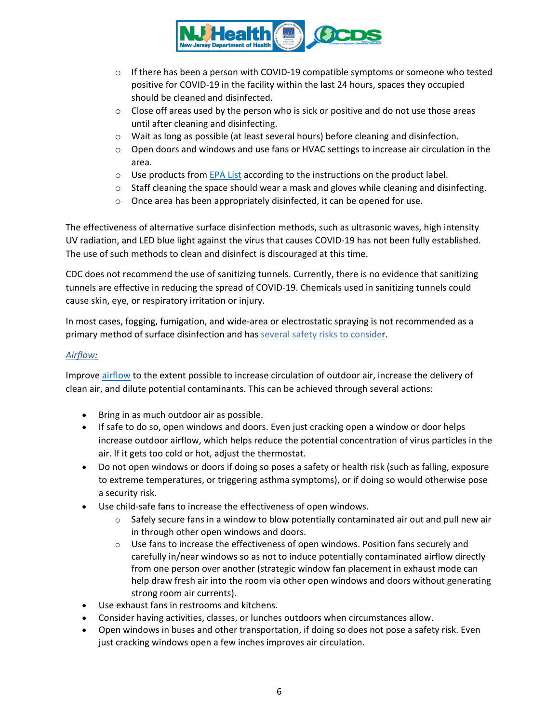

- $\circ$  If there has been a person with COVID-19 compatible symptoms or someone who tested positive for COVID-19 in the facility within the last 24 hours, spaces they occupied should be cleaned and disinfected.
- $\circ$  Close off areas used by the person who is sick or positive and do not use those areas until after cleaning and disinfecting.
- $\circ$  Wait as long as possible (at least several hours) before cleaning and disinfection.
- $\circ$  Open doors and windows and use fans or HVAC settings to increase air circulation in the area.
- o Use products from [EPA List](https://www.epa.gov/pesticide-registration/list-n-disinfectants-use-against-sars-cov-2-covid-19) according to the instructions on the product label.
- $\circ$  Staff cleaning the space should wear a mask and gloves while cleaning and disinfecting.
- o Once area has been appropriately disinfected, it can be opened for use.

The effectiveness of [alternative surface disinfection methods,](https://www.epa.gov/coronavirus/why-arent-ozone-generators-uv-lights-or-air-purifiers-list-n-can-i-use-these-or-other) such as ultrasonic waves, high intensity UV radiation, and LED blue light against the virus that causes COVID-19 has not been fully established. The use of such methods to clean and disinfect is discouraged at this time.

CDC does not recommend the use of sanitizing tunnels. Currently, there is no evidence that sanitizing tunnels are effective in reducing the spread of COVID-19. Chemicals used in sanitizing tunnels could cause skin, eye, or respiratory irritation or injury.

In most cases, fogging, fumigation, and wide-area or electrostatic spraying is not recommended as a primary method of surface disinfection and has [several safety risks to consider.](https://www.cdc.gov/coronavirus/2019-ncov/php/eh-practitioners/sprayers.html)

## *Airflow:*

Improve [airflow](https://www.cdc.gov/coronavirus/2019-ncov/community/schools-childcare/ventilation.html) to the extent possible to increase circulation of outdoor air, increase the delivery of clean air, and dilute potential contaminants. This can be achieved through several actions:

- Bring in as much outdoor air as possible.
- If safe to do so, open windows and doors. Even just cracking open a window or door helps increase outdoor airflow, which helps reduce the potential concentration of virus particles in the air. If it gets too cold or hot, adjust the thermostat.
- Do not open windows or doors if doing so poses a safety or health risk (such as falling, exposure to extreme temperatures, or triggering asthma symptoms), or if doing so would otherwise pose a security risk.
- Use child-safe fans to increase the effectiveness of open windows.
	- $\circ$  Safely secure fans in a window to blow potentially contaminated air out and pull new air in through other open windows and doors.
	- $\circ$  Use fans to increase the effectiveness of open windows. Position fans securely and carefully in/near windows so as not to induce potentially contaminated airflow directly from one person over another (strategic window fan placement in exhaust mode can help draw fresh air into the room via other open windows and doors without generating strong room air currents).
- Use exhaust fans in restrooms and kitchens.
- Consider having activities, classes, or lunches outdoors when circumstances allow.
- Open windows in buses and other transportation, if doing so does not pose a safety risk. Even just cracking windows open a few inches improves air circulation.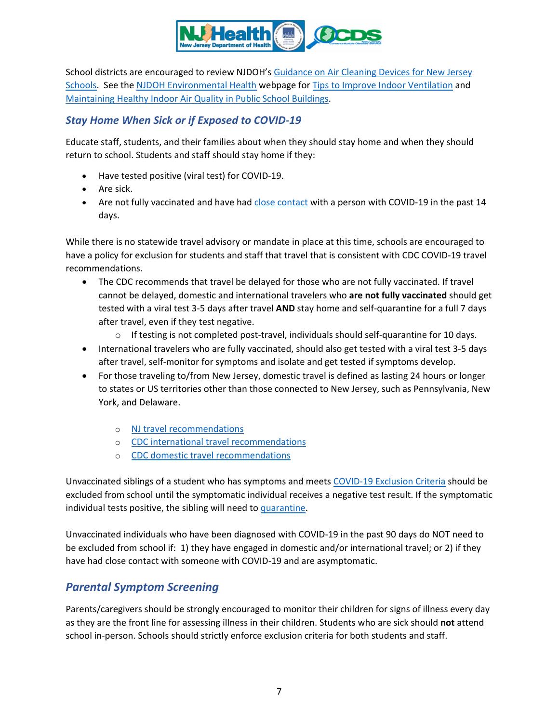

School districts are encouraged to review NJDOH's [Guidance on Air Cleaning Devices for New Jersey](https://www.state.nj.us/health/ceohs/documents/ceohs%20content/NJDOH_Guidance_Air_Cleaning_Devices_NJ_Schools.pdf)  [Schools.](https://www.state.nj.us/health/ceohs/documents/ceohs%20content/NJDOH_Guidance_Air_Cleaning_Devices_NJ_Schools.pdf) See the [NJDOH Environmental Health](https://www.state.nj.us/health/ceohs/index.shtml) webpage for [Tips to Improve Indoor Ventilation](https://www.state.nj.us/health/ceohs/documents/ceohs%20content/NJDOH_Ventilation_Indoor_Spaces.pdf) and [Maintaining Healthy Indoor Air Quality in Public School Buildings.](https://www.nj.gov/health/workplacehealthandsafety/documents/peosh/njdoh%20iaq%20public%20schools_covid19.pdf)

## *Stay Home When Sick or if Exposed to COVID-19*

Educate staff, students, and their families about when they should stay home and when they should return to school. Students and staff should stay home if they:

- Have tested positive (viral test) for COVID-19.
- Are sick.
- Are not fully vaccinated and have had close [contact](#page-12-0) with a person with COVID-19 in the past 14 days.

While there is no statewide travel advisory or mandate in place at this time, schools are encouraged to have a policy for exclusion for students and staff that travel that is consistent with CDC COVID-19 travel recommendations.

- The CDC recommends that travel be delayed for those who are not fully vaccinated. If travel cannot be delayed, domestic and international travelers who **are not fully vaccinated** should get tested with a viral test 3-5 days after travel **AND** stay home and self-quarantine for a full 7 days after travel, even if they test negative.
	- $\circ$  If testing is not completed post-travel, individuals should self-quarantine for 10 days.
- International travelers who are fully vaccinated, should also get tested with a viral test 3-5 days after travel, self-monitor for symptoms and isolate and get tested if symptoms develop.
- For those traveling to/from New Jersey, domestic travel is defined as lasting 24 hours or longer to states or US territories other than those connected to New Jersey, such as Pennsylvania, New York, and Delaware.
	- o [NJ travel recommendations](https://covid19.nj.gov/faqs/nj-information/travel-information/which-states-are-on-the-travel-advisory-list-are-there-travel-restrictions-to-or-from-new-jersey)
	- o [CDC international](https://www.cdc.gov/coronavirus/2019-ncov/travelers/after-travel-precautions.html) travel recommendations
	- o [CDC domestic travel recommendations](https://www.cdc.gov/coronavirus/2019-ncov/travelers/travel-during-covid19.html)

Unvaccinated siblings of a student who has symptoms and meets COVID-19 Exclusion Criteria should be excluded from school until the symptomatic individual receives a negative test result. If the symptomatic individual tests positive, the sibling will need t[o quarantine.](https://www.state.nj.us/health/cd/documents/topics/NCOV/COVID_updated_quarantine_timeframes.pdf)

Unvaccinated individuals who have been diagnosed with COVID-19 in the past 90 days do NOT need to be excluded from school if: 1) they have engaged in domestic and/or international travel; or 2) if they have had close contact with someone with COVID-19 and are asymptomatic.

# *Parental Symptom Screening*

Parents/caregivers should be strongly encouraged to monitor their children for signs of illness every day as they are the front line for assessing illness in their children. Students who are sick should **not** attend school in-person. Schools should strictly enforce exclusion criteria for both students and staff.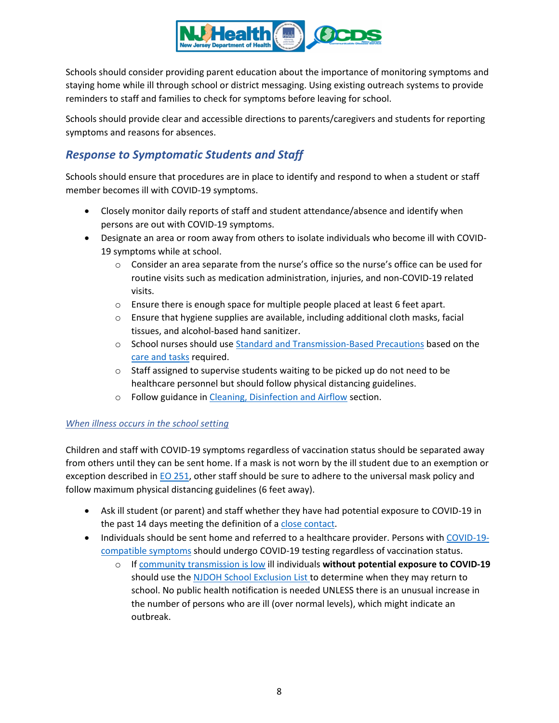

Schools should consider providing parent education about the importance of monitoring symptoms and staying home while ill through school or district messaging. Using existing outreach systems to provide reminders to staff and families to check for symptoms before leaving for school.

Schools should provide clear and accessible directions to parents/caregivers and students for reporting symptoms and reasons for absences.

# *Response to Symptomatic Students and Staff*

Schools should ensure that procedures are in place to identify and respond to when a student or staff member becomes ill with COVID-19 symptoms.

- Closely monitor daily reports of staff and student attendance/absence and identify when persons are out with COVID-19 symptoms.
- Designate an area or room away from others to isolate individuals who become ill with COVID-19 symptoms while at school.
	- $\circ$  Consider an area separate from the nurse's office so the nurse's office can be used for routine visits such as medication administration, injuries, and non-COVID-19 related visits.
	- o Ensure there is enough space for multiple people placed at least 6 feet apart.
	- $\circ$  Ensure that hygiene supplies are available, including additional cloth masks, facial tissues, and alcohol-based hand sanitizer.
	- o School nurses should use [Standard and Transmission-Based Precautions](https://www.cdc.gov/coronavirus/2019-ncov/hcp/infection-control-recommendations.html?CDC_AA_refVal=https%3A%2F%2Fwww.cdc.gov%2Fcoronavirus%2F2019-ncov%2Finfection-control%2Fcontrol-recommendations.html) based on the [care and tasks](https://www.state.nj.us/health/cd/documents/topics/NCOV/PPE_School_Nurses.pdf) required.
	- o Staff assigned to supervise students waiting to be picked up do not need to be healthcare personnel but should follow physical distancing guidelines.
	- o Follow guidance in [Cleaning, Disinfection and Airflow](#page-4-0) section.

## *When illness occurs in the school setting*

Children and staff with COVID-19 symptoms regardless of vaccination status should be separated away from others until they can be sent home. If a mask is not worn by the ill student due to an exemption or exception described in [EO 251,](https://nj.gov/infobank/eo/056murphy/pdf/EO-251.pdf) other staff should be sure to adhere to the universal mask policy and follow maximum physical distancing guidelines (6 feet away).

- Ask ill student (or parent) and staff whether they have had potential exposure to COVID-19 in the past 14 days meeting the definition of a [close contact.](#page-12-0)
- Individuals should be sent home and referred to a healthcare provider. Persons with [COVID-19](#page-8-0) [compatible symptoms](#page-8-0) should undergo COVID-19 testing regardless of vaccination status.
	- o I[f community transmission is low](https://www.nj.gov/health/cd/statistics/covid/#1) ill individuals **without potential exposure to COVID-19** should use the [NJDOH School Exclusion List](https://www.nj.gov/health/cd/documents/topics/outbreaks/School%20Exclusion%20List_9.2018.pdf) to determine when they may return to school. No public health notification is needed UNLESS there is an unusual increase in the number of persons who are ill (over normal levels), which might indicate an outbreak.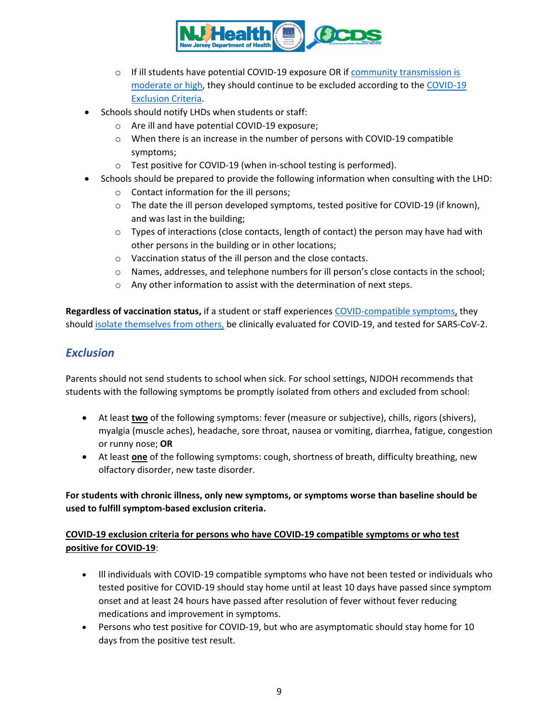

- $\circ$  If ill students have potential COVID-19 exposure OR if community transmission is [moderate or high,](https://www.nj.gov/health/cd/statistics/covid/#1) they should continue to be excluded according to the COVID-19 Exclusion Criteria.
- Schools should notify LHDs when students or staff:
	- o Are ill and have potential COVID-19 exposure;
	- o When there is an increase in the number of persons with COVID-19 compatible symptoms;
	- o Test positive for COVID-19 (when in-school testing is performed).
- Schools should be prepared to provide the following information when consulting with the LHD:
	- o Contact information for the ill persons;
	- o The date the ill person developed symptoms, tested positive for COVID-19 (if known), and was last in the building;
	- $\circ$  Types of interactions (close contacts, length of contact) the person may have had with other persons in the building or in other locations;
	- o Vaccination status of the ill person and the close contacts.
	- o Names, addresses, and telephone numbers for ill person's close contacts in the school;
	- o Any other information to assist with the determination of next steps.

**Regardless of vaccination status,** if a student or staff experiences COVID-compatible symptoms, they should [isolate themselves from others,](https://www.cdc.gov/coronavirus/2019-ncov/if-you-are-sick/isolation.html) be clinically evaluated for COVID-19, and tested for SARS-CoV-2.

# *Exclusion*

Parents should not send students to school when sick. For school settings, NJDOH recommends that students with the following symptoms be promptly isolated from others and excluded from school:

- <span id="page-8-0"></span>• At least **two** of the following symptoms: fever (measure or subjective), chills, rigors (shivers), myalgia (muscle aches), headache, sore throat, nausea or vomiting, diarrhea, fatigue, congestion or runny nose; **OR**
- At least **one** of the following symptoms: cough, shortness of breath, difficulty breathing, new olfactory disorder, new taste disorder.

## **For students with chronic illness, only new symptoms, or symptoms worse than baseline should be used to fulfill symptom-based exclusion criteria.**

## **COVID-19 exclusion criteria for persons who have COVID-19 compatible symptoms or who test positive for COVID-19**:

- Ill individuals with COVID-19 compatible symptoms who have not been tested or individuals who tested positive for COVID-19 should stay home until at least 10 days have passed since symptom onset and at least 24 hours have passed after resolution of fever without fever reducing medications and improvement in symptoms.
- Persons who test positive for COVID-19, but who are asymptomatic should stay home for 10 days from the positive test result.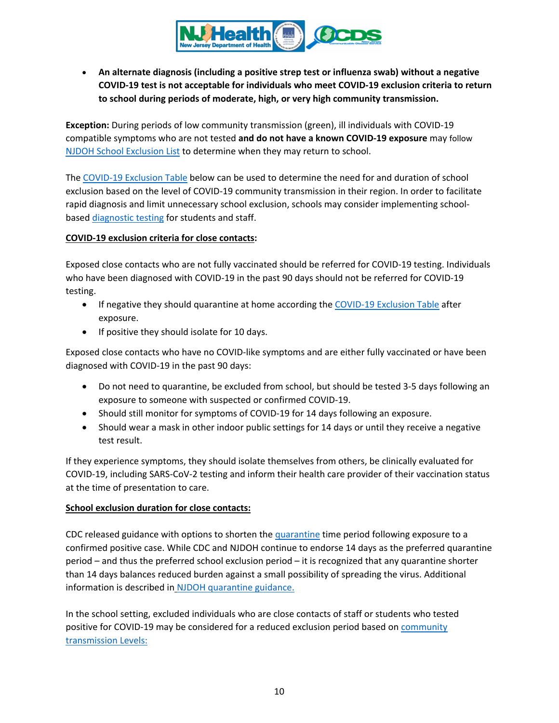

• **An alternate diagnosis (including a positive strep test or influenza swab) without a negative COVID-19 test is not acceptable for individuals who meet COVID-19 exclusion criteria to return to school during periods of moderate, high, or very high community transmission.**

**Exception:** During periods of low community transmission (green), ill individuals with COVID-19 compatible symptoms who are not tested **and do not have a known COVID-19 exposure** may follow [NJDOH School Exclusion List](https://www.nj.gov/health/cd/documents/topics/outbreaks/School%20Exclusion%20List_9.2018.pdf) to determine when they may return to school.

The [COVID-19 Exclusion Table](#page-11-0) below can be used to determine the need for and duration of school exclusion based on the level of COVID-19 community transmission in their region. In order to facilitate rapid diagnosis and limit unnecessary school exclusion, schools may consider implementing schoolbased [diagnostic testing](#page-13-0) for students and staff.

### **COVID-19 exclusion criteria for close contacts:**

Exposed close contacts who are not fully vaccinated should be referred for COVID-19 testing. Individuals who have been diagnosed with COVID-19 in the past 90 days should not be referred for COVID-19 testing.

- If negative they should quarantine at home according the [COVID-19 Exclusion Table](#page-11-0) after exposure.
- If positive they should isolate for 10 days.

Exposed close contacts who have no COVID-like symptoms and are either fully vaccinated or have been diagnosed with COVID-19 in the past 90 days:

- Do not need to quarantine, be excluded from school, but should be tested 3-5 days following an exposure to someone with suspected or confirmed COVID-19.
- Should still monitor for symptoms of COVID-19 for 14 days following an exposure.
- Should wear a mask in other indoor public settings for 14 days or until they receive a negative test result.

If they experience symptoms, they should isolate themselves from others, be clinically evaluated for COVID-19, including SARS-CoV-2 testing and inform their health care provider of their vaccination status at the time of presentation to care.

## **School exclusion duration for close contacts:**

CDC released guidance with options to shorten the [quarantine](https://www.cdc.gov/coronavirus/2019-ncov/if-you-are-sick/quarantine.html) time period following exposure to a confirmed positive case. While CDC and NJDOH continue to endorse 14 days as the preferred quarantine period – and thus the preferred school exclusion period – it is recognized that any quarantine shorter than 14 days balances reduced burden against a small possibility of spreading the virus. Additional information is described in [NJDOH quarantine guidance.](https://www.state.nj.us/health/cd/documents/topics/NCOV/COVID_updated_quarantine_timeframes.pdf)

In the school setting, excluded individuals who are close contacts of staff or students who tested positive for COVID-19 may be considered for a reduced exclusion period based on community [transmission](https://www.nj.gov/health/cd/statistics/covid/#1) Levels: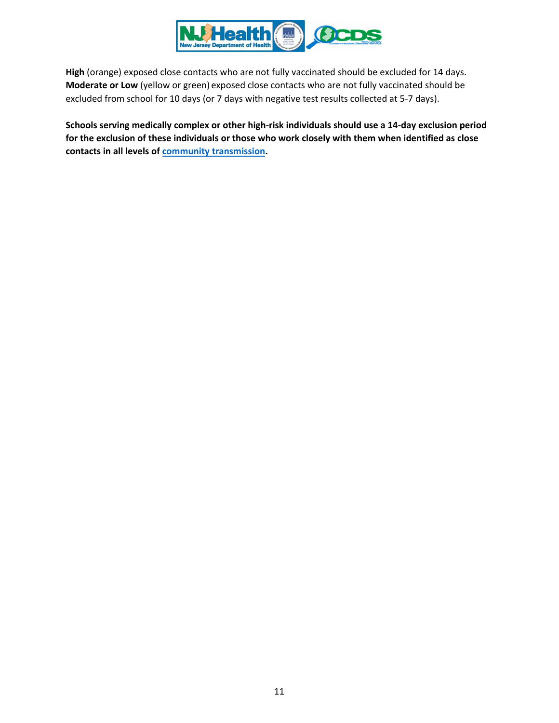

**High** (orange) exposed close contacts who are not fully vaccinated should be excluded for 14 days. **Moderate or Low** (yellow or green) exposed close contacts who are not fully vaccinated should be excluded from school for 10 days (or 7 days with negative test results collected at 5-7 days).

**Schools serving medically complex or other high-risk individuals should use a 14-day exclusion period for the exclusion of these individuals or those who work closely with them when identified as close contacts in all levels of [community transmission.](https://www.nj.gov/health/cd/statistics/covid/#1)**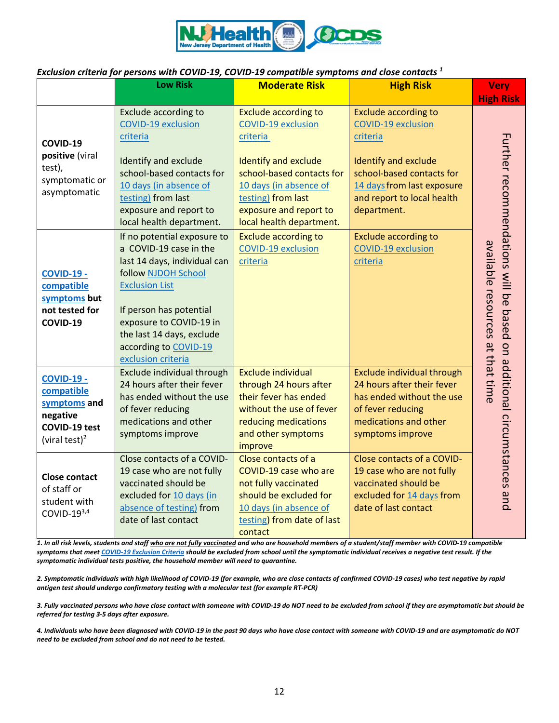

### <span id="page-11-0"></span>*Exclusion criteria for persons with COVID-19, COVID-19 compatible symptoms and close contacts <sup>1</sup>*

|                                                             | <b>Low Risk</b>                                                                                                                                         | <b>Moderate Risk</b>                                                                                                                                           | <b>High Risk</b>                                                                                                                    | <b>Very</b>                                                           |
|-------------------------------------------------------------|---------------------------------------------------------------------------------------------------------------------------------------------------------|----------------------------------------------------------------------------------------------------------------------------------------------------------------|-------------------------------------------------------------------------------------------------------------------------------------|-----------------------------------------------------------------------|
|                                                             |                                                                                                                                                         |                                                                                                                                                                |                                                                                                                                     | <b>High Risk</b>                                                      |
| COVID-19                                                    | Exclude according to                                                                                                                                    | <b>Exclude according to</b>                                                                                                                                    | <b>Exclude according to</b>                                                                                                         |                                                                       |
|                                                             | <b>COVID-19 exclusion</b>                                                                                                                               | <b>COVID-19 exclusion</b>                                                                                                                                      | <b>COVID-19 exclusion</b>                                                                                                           |                                                                       |
|                                                             | criteria                                                                                                                                                | criteria                                                                                                                                                       | criteria                                                                                                                            |                                                                       |
| positive (viral<br>test),<br>symptomatic or<br>asymptomatic | Identify and exclude<br>school-based contacts for<br>10 days (in absence of<br>testing) from last<br>exposure and report to<br>local health department. | <b>Identify and exclude</b><br>school-based contacts for<br>10 days (in absence of<br>testing) from last<br>exposure and report to<br>local health department. | <b>Identify and exclude</b><br>school-based contacts for<br>14 days from last exposure<br>and report to local health<br>department. | Further recommendations will be based on additional circumstances and |
|                                                             | If no potential exposure to                                                                                                                             | <b>Exclude according to</b>                                                                                                                                    | <b>Exclude according to</b>                                                                                                         |                                                                       |
|                                                             | a COVID-19 case in the                                                                                                                                  | <b>COVID-19 exclusion</b>                                                                                                                                      | <b>COVID-19 exclusion</b>                                                                                                           |                                                                       |
|                                                             | last 14 days, individual can                                                                                                                            | criteria                                                                                                                                                       | criteria                                                                                                                            |                                                                       |
| <b>COVID-19 -</b>                                           | follow NJDOH School                                                                                                                                     |                                                                                                                                                                |                                                                                                                                     |                                                                       |
| compatible                                                  | <b>Exclusion List</b>                                                                                                                                   |                                                                                                                                                                |                                                                                                                                     |                                                                       |
| symptoms but                                                |                                                                                                                                                         |                                                                                                                                                                |                                                                                                                                     |                                                                       |
| not tested for                                              | If person has potential                                                                                                                                 |                                                                                                                                                                |                                                                                                                                     |                                                                       |
| COVID-19                                                    | exposure to COVID-19 in                                                                                                                                 |                                                                                                                                                                |                                                                                                                                     |                                                                       |
|                                                             | the last 14 days, exclude                                                                                                                               |                                                                                                                                                                |                                                                                                                                     |                                                                       |
|                                                             | according to COVID-19                                                                                                                                   |                                                                                                                                                                |                                                                                                                                     |                                                                       |
|                                                             | exclusion criteria                                                                                                                                      |                                                                                                                                                                |                                                                                                                                     | available resources at that time                                      |
| <b>COVID-19 -</b>                                           | Exclude individual through<br>24 hours after their fever                                                                                                | <b>Exclude individual</b>                                                                                                                                      | Exclude individual through<br>24 hours after their fever                                                                            |                                                                       |
| compatible                                                  | has ended without the use                                                                                                                               | through 24 hours after<br>their fever has ended                                                                                                                | has ended without the use                                                                                                           |                                                                       |
| symptoms and                                                | of fever reducing                                                                                                                                       | without the use of fever                                                                                                                                       | of fever reducing                                                                                                                   |                                                                       |
| negative                                                    | medications and other                                                                                                                                   | reducing medications                                                                                                                                           | medications and other                                                                                                               |                                                                       |
| COVID-19 test                                               | symptoms improve                                                                                                                                        | and other symptoms                                                                                                                                             | symptoms improve                                                                                                                    |                                                                       |
| (viral test) <sup>2</sup>                                   |                                                                                                                                                         | improve                                                                                                                                                        |                                                                                                                                     |                                                                       |
|                                                             | Close contacts of a COVID-                                                                                                                              | Close contacts of a                                                                                                                                            | Close contacts of a COVID-                                                                                                          |                                                                       |
| <b>Close contact</b><br>of staff or                         | 19 case who are not fully                                                                                                                               | COVID-19 case who are                                                                                                                                          | 19 case who are not fully                                                                                                           |                                                                       |
|                                                             | vaccinated should be                                                                                                                                    | not fully vaccinated                                                                                                                                           | vaccinated should be                                                                                                                |                                                                       |
|                                                             | excluded for 10 days (in                                                                                                                                | should be excluded for                                                                                                                                         | excluded for 14 days from                                                                                                           |                                                                       |
| student with<br>COVID- $19^{3,4}$                           | absence of testing) from                                                                                                                                | 10 days (in absence of                                                                                                                                         | date of last contact                                                                                                                |                                                                       |
|                                                             | date of last contact                                                                                                                                    | testing) from date of last                                                                                                                                     |                                                                                                                                     |                                                                       |
|                                                             |                                                                                                                                                         | contact                                                                                                                                                        |                                                                                                                                     |                                                                       |

*1. In all risk levels, students and staff who are not fully vaccinated and who are household members of a student/staff member with COVID-19 compatible symptoms that meet COVID-19 Exclusion Criteria should be excluded from school until the symptomatic individual receives a negative test result. If the symptomatic individual tests positive, the household member will need to quarantine.*

*2. Symptomatic individuals with high likelihood of COVID-19 (for example, who are close contacts of confirmed COVID-19 cases) who test negative by rapid antigen test should undergo confirmatory testing with a molecular test (for example RT-PCR)*

*3. Fully vaccinated persons who have close contact with someone with COVID-19 do NOT need to be excluded from school if they are asymptomatic but should be referred for testing 3-5 days after exposure.*

*4. Individuals who have been diagnosed with COVID-19 in the past 90 days who have close contact with someone with COVID-19 and are asymptomatic do NOT need to be excluded from school and do not need to be tested.*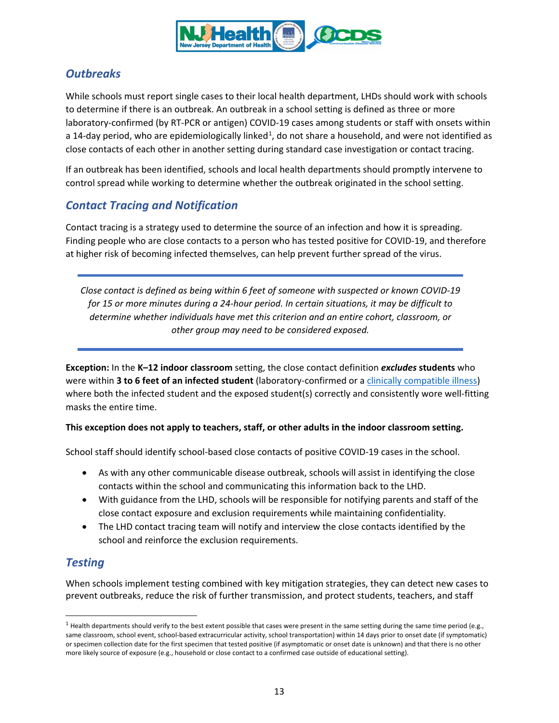<span id="page-12-0"></span>

# *Outbreaks*

While schools must report single cases to their local health department, LHDs should work with schools to determine if there is an outbreak. An outbreak in a school setting is defined as three or more laboratory-confirmed (by RT-PCR or antigen) COVID-19 cases among students or staff with onsets within a [1](#page-12-2)4-day period, who are epidemiologically linked<sup>1</sup>, do not share a household, and were not identified as close contacts of each other in another setting during standard case investigation or contact tracing.

If an outbreak has been identified, schools and local health departments should promptly intervene to control spread while working to determine whether the outbreak originated in the school setting.

# *Contact Tracing and Notification*

Contact tracing is a strategy used to determine the source of an infection and how it is spreading. Finding people who are close contacts to a person who has tested positive for COVID-19, and therefore at higher risk of becoming infected themselves, can help prevent further spread of the virus.

*Close contact is defined as being within 6 feet of someone with suspected or known COVID-19 for 15 or more minutes during a 24-hour period. In certain situations, it may be difficult to determine whether individuals have met this criterion and an entire cohort, classroom, or other group may need to be considered exposed.* 

<span id="page-12-1"></span>**Exception:** In the **K–12 indoor classroom** setting, the close contact definition *excludes* **students** who were within **3 to 6 feet of an infected student** (laboratory-confirmed or a [clinically compatible illness\)](https://www.cdc.gov/coronavirus/2019-ncov/hcp/clinical-guidance-management-patients.html) where both the infected student and the exposed student(s) correctly and consistently wore well-fitting masks the entire time.

#### **This exception does not apply to teachers, staff, or other adults in the indoor classroom setting.**

School staff should identify school-based close contacts of positive COVID-19 cases in the school.

- As with any other communicable disease outbreak, schools will assist in identifying the close contacts within the school and communicating this information back to the LHD.
- With guidance from the LHD, schools will be responsible for notifying parents and staff of the close contact exposure and exclusion requirements while maintaining confidentiality.
- The LHD contact tracing team will notify and interview the close contacts identified by the school and reinforce the exclusion requirements.

# *Testing*

When schools implement testing combined with key mitigation strategies, they can detect new cases to prevent outbreaks, reduce the risk of further transmission, and protect students, teachers, and staff

<span id="page-12-2"></span> $1$  Health departments should verify to the best extent possible that cases were present in the same setting during the same time period (e.g., same classroom, school event, school-based extracurricular activity, school transportation) within 14 days prior to onset date (if symptomatic) or specimen collection date for the first specimen that tested positive (if asymptomatic or onset date is unknown) and that there is no other more likely source of exposure (e.g., household or close contact to a confirmed case outside of educational setting).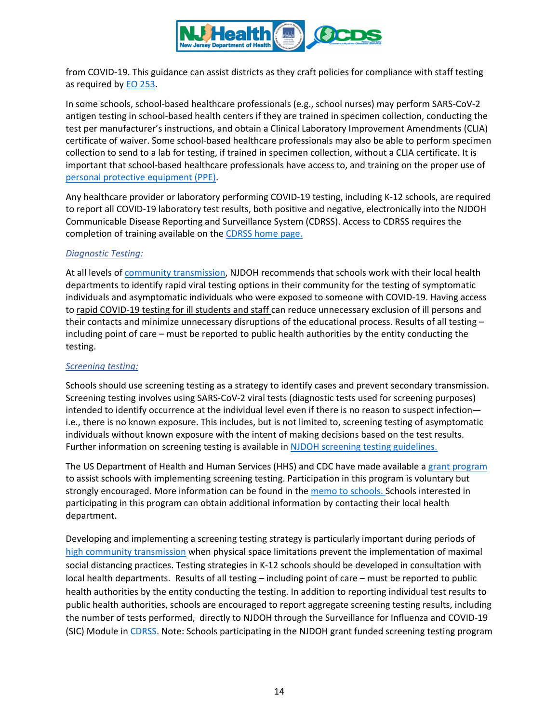

from COVID-19. This guidance can assist districts as they craft policies for compliance with staff testing as required by [EO 253.](https://nj.gov/infobank/eo/056murphy/pdf/EO-253.pdf)

In some schools, school-based healthcare professionals (e.g., school nurses) may perform SARS-CoV-2 antigen testing in school-based health centers if they are trained in specimen collection, conducting the test per manufacturer's instructions, and obtain a Clinical Laboratory Improvement Amendments (CLIA) certificate of waiver. Some school-based healthcare professionals may also be able to perform specimen collection to send to a lab for testing, if trained in specimen collection, without a CLIA certificate. It is important that school-based healthcare professionals have access to, and training on the proper use of [personal protective equipment \(PPE\).](https://www.cdc.gov/coronavirus/2019-ncov/hcp/using-ppe.html) 

Any healthcare provider or laboratory performing COVID-19 testing, including K-12 schools, are required to report all COVID-19 laboratory test results, both positive and negative, electronically into the NJDOH Communicable Disease Reporting and Surveillance System (CDRSS). Access to CDRSS requires the completion of training available on th[e CDRSS home page.](https://cdrs.doh.state.nj.us/cdrss/login/loginPage/)

### <span id="page-13-0"></span>*Diagnostic Testing:*

At all levels o[f community transmission,](https://www.nj.gov/health/cd/statistics/covid/#1) NJDOH recommends that schools work with their local health departments to identify rapid viral testing options in their community for the testing of symptomatic individuals and asymptomatic individuals who were exposed to someone with COVID-19. Having access to rapid COVID-19 testing for ill students and staff can reduce unnecessary exclusion of ill persons and their contacts and minimize unnecessary disruptions of the educational process. Results of all testing – including point of care – must be reported to public health authorities by the entity conducting the testing.

#### *Screening testing:*

Schools should use screening testing as a strategy to identify cases and prevent secondary transmission. Screening testing involves using SARS-CoV-2 viral tests (diagnostic tests used for screening purposes) intended to identify occurrence at the individual level even if there is no reason to suspect infection i.e., there is no known exposure. This includes, but is not limited to, screening testing of asymptomatic individuals without known exposure with the intent of making decisions based on the test results. Further information on screening testing is available in [NJDOH screening testing guidelines.](https://www.state.nj.us/health/cd/documents/topics/NCOV/K-12_screening_testing_guidelines.pdf)

The US Department of Health and Human Services (HHS) and CDC have made available a [grant program](https://www.cdc.gov/ncezid/dpei/pdf/guidance-elc-reopening-schools-508.pdf) to assist schools with implementing screening testing. Participation in this program is voluntary but strongly encouraged. More information can be found in th[e memo to schools.](https://www.nj.gov/education/broadcasts/2021/july/7/DOH-DOEK12TestingMemo.pdf) Schools interested in participating in this program can obtain additional information by contacting their local health department.

Developing and implementing a screening testing strategy is particularly important during periods of [high community transmission](https://www.nj.gov/health/cd/statistics/covid/#1) when physical space limitations prevent the implementation of maximal social distancing practices. Testing strategies in K-12 schools should be developed in consultation with local health departments. Results of all testing – including point of care – must be reported to public health authorities by the entity conducting the testing. In addition to reporting individual test results to public health authorities, schools are encouraged to report aggregate screening testing results, including the number of tests performed, directly to NJDOH through the Surveillance for Influenza and COVID-19 (SIC) Module in [CDRSS.](https://cdrs.doh.state.nj.us/cdrss/login/loginPage/) Note: Schools participating in the NJDOH grant funded screening testing program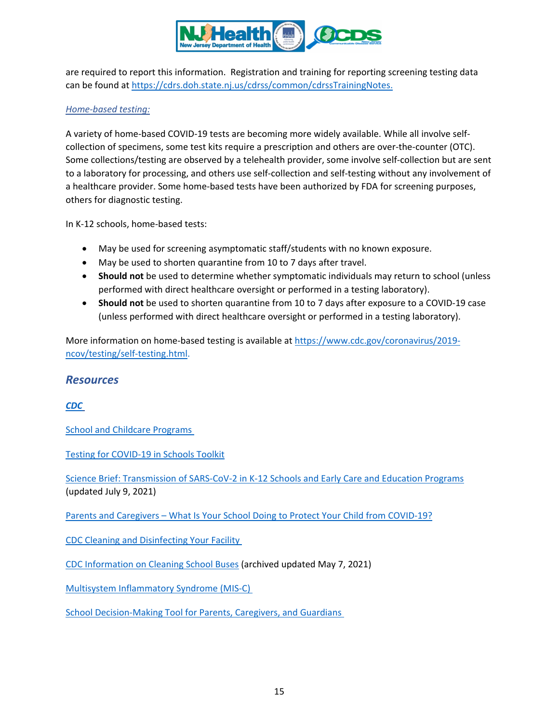

are required to report this information. Registration and training for reporting screening testing data can be found at [https://cdrs.doh.state.nj.us/cdrss/common/cdrssTrainingNotes.](https://cdrs.doh.state.nj.us/cdrss/common/cdrssTrainingNotes)

#### *Home-based testing:*

A variety of home-based COVID-19 tests are becoming more widely available. While all involve selfcollection of specimens, some test kits require a prescription and others are over-the-counter (OTC). Some collections/testing are observed by a telehealth provider, some involve self-collection but are sent to a laboratory for processing, and others use self-collection and self-testing without any involvement of a healthcare provider. Some home-based tests have been authorized by FDA for screening purposes, others for diagnostic testing.

In K-12 schools, home-based tests:

- May be used for screening asymptomatic staff/students with no known exposure.
- May be used to shorten quarantine from 10 to 7 days after travel.
- **Should not** be used to determine whether symptomatic individuals may return to school (unless performed with direct healthcare oversight or performed in a testing laboratory).
- **Should not** be used to shorten quarantine from 10 to 7 days after exposure to a COVID-19 case (unless performed with direct healthcare oversight or performed in a testing laboratory).

More information on home-based testing is available at [https://www.cdc.gov/coronavirus/2019](https://www.cdc.gov/coronavirus/2019-ncov/testing/self-testing.html) [ncov/testing/self-testing.html.](https://www.cdc.gov/coronavirus/2019-ncov/testing/self-testing.html)

## *Resources*

*[CDC](https://www.cdc.gov/coronavirus/2019-nCoV/index.html)*

[School and Childcare Programs](https://www.cdc.gov/coronavirus/2019-ncov/community/schools-childcare/index.html)

[Testing for COVID-19 in Schools Toolkit](https://www.cdc.gov/coronavirus/2019-ncov/community/schools-childcare/school-testing.html)

[Science Brief: Transmission of SARS-CoV-2 in K-12 Schools and Early Care and Education Programs](https://www.cdc.gov/coronavirus/2019-ncov/science/science-briefs/transmission_k_12_schools.html)  (updated July 9, 2021)

Parents and Caregivers – [What Is Your School Doing to Protect Your Child from COVID-19?](https://www.cdc.gov/coronavirus/2019-ncov/community/schools-childcare/parent-faqs.html)

[CDC Cleaning and Disinfecting Your Facility](https://www.cdc.gov/coronavirus/2019-ncov/community/disinfecting-building-facility.html)

[CDC Information on Cleaning School Buses](https://www.cdc.gov/coronavirus/2019-ncov/community/organizations/bus-transit-operator.html) (archived updated May 7, 2021)

Multisystem [Inflammatory Syndrome \(MIS-C\)](https://www.cdc.gov/mis-c/)

[School Decision-Making Tool for Parents, Caregivers, and Guardians](https://www.cdc.gov/coronavirus/2019-ncov/community/schools-childcare/parent-checklist.html)